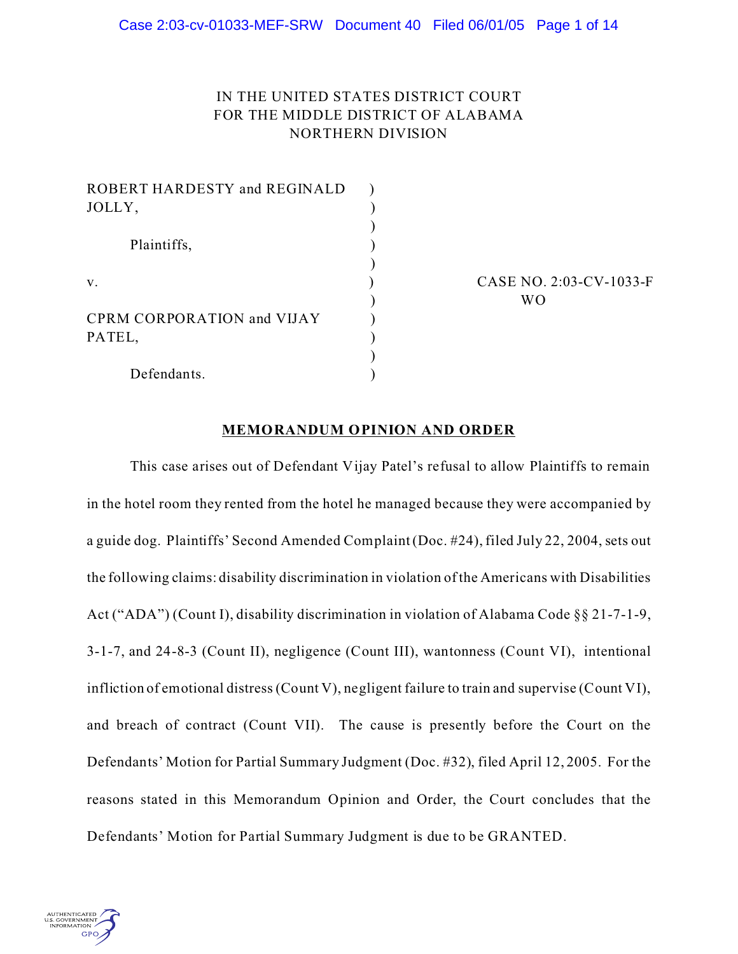# IN THE UNITED STATES DISTRICT COURT FOR THE MIDDLE DISTRICT OF ALABAMA NORTHERN DIVISION

| ROBERT HARDESTY and REGINALD      |  |
|-----------------------------------|--|
| JOLLY,<br>Plaintiffs,<br>V.       |  |
|                                   |  |
|                                   |  |
|                                   |  |
|                                   |  |
|                                   |  |
| <b>CPRM CORPORATION and VIJAY</b> |  |
| PATEL,                            |  |
|                                   |  |
| Defendants.                       |  |

CASE NO. 2:03-CV-1033-F ) WO

# **MEMORANDUM OPINION AND ORDER**

This case arises out of Defendant Vijay Patel's refusal to allow Plaintiffs to remain in the hotel room they rented from the hotel he managed because they were accompanied by a guide dog. Plaintiffs' Second Amended Complaint (Doc. #24), filed July 22, 2004, sets out the following claims: disability discrimination in violation of the Americans with Disabilities Act ("ADA") (Count I), disability discrimination in violation of Alabama Code §§ 21-7-1-9, 3-1-7, and 24-8-3 (Count II), negligence (Count III), wantonness (Count VI), intentional infliction of emotional distress (Count V), negligent failure to train and supervise (Count VI), and breach of contract (Count VII). The cause is presently before the Court on the Defendants' Motion for Partial Summary Judgment (Doc. #32), filed April 12, 2005. For the reasons stated in this Memorandum Opinion and Order, the Court concludes that the Defendants' Motion for Partial Summary Judgment is due to be GRANTED.

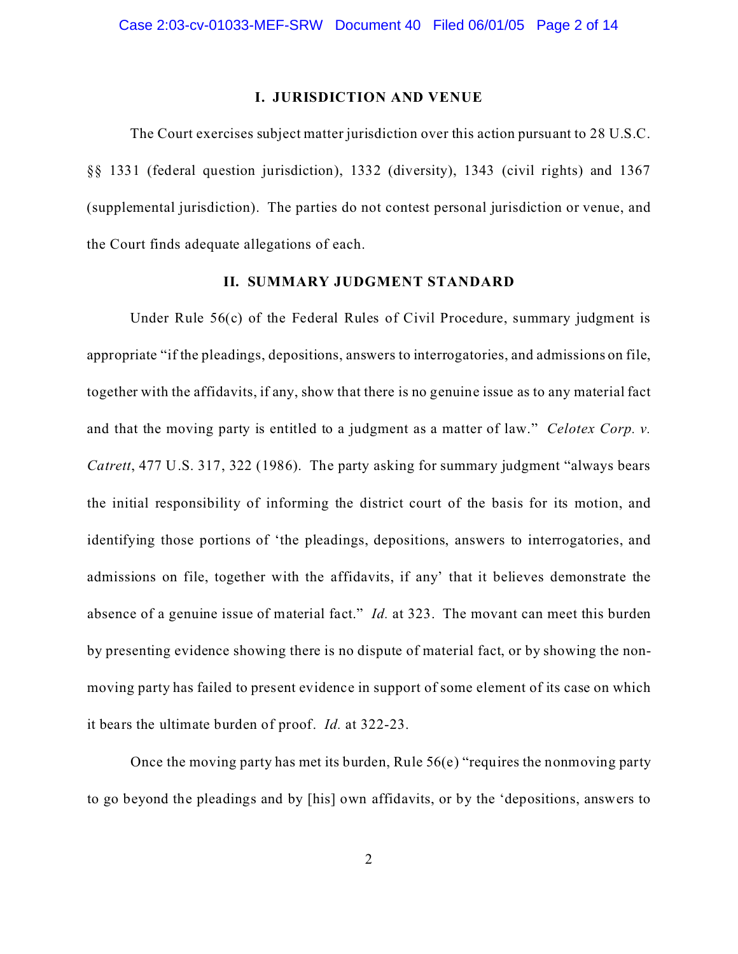## **I. JURISDICTION AND VENUE**

The Court exercises subject matter jurisdiction over this action pursuant to 28 U.S.C. §§ 1331 (federal question jurisdiction), 1332 (diversity), 1343 (civil rights) and 1367 (supplemental jurisdiction). The parties do not contest personal jurisdiction or venue, and the Court finds adequate allegations of each.

# **II. SUMMARY JUDGMENT STANDARD**

Under Rule 56(c) of the Federal Rules of Civil Procedure, summary judgment is appropriate "if the pleadings, depositions, answers to interrogatories, and admissions on file, together with the affidavits, if any, show that there is no genuine issue as to any material fact and that the moving party is entitled to a judgment as a matter of law." *Celotex Corp. v. Catrett*, 477 U.S. 317, 322 (1986). The party asking for summary judgment "always bears the initial responsibility of informing the district court of the basis for its motion, and identifying those portions of 'the pleadings, depositions, answers to interrogatories, and admissions on file, together with the affidavits, if any' that it believes demonstrate the absence of a genuine issue of material fact." *Id.* at 323. The movant can meet this burden by presenting evidence showing there is no dispute of material fact, or by showing the nonmoving party has failed to present evidence in support of some element of its case on which it bears the ultimate burden of proof. *Id.* at 322-23.

Once the moving party has met its burden, Rule 56(e) "requires the nonmoving party to go beyond the pleadings and by [his] own affidavits, or by the 'depositions, answers to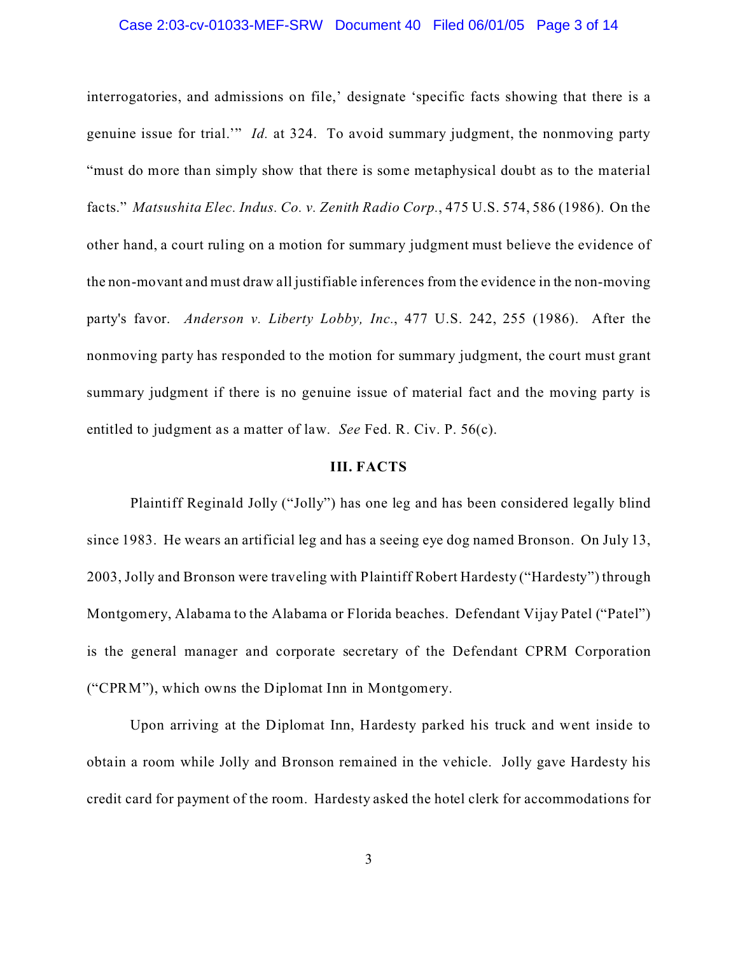### Case 2:03-cv-01033-MEF-SRW Document 40 Filed 06/01/05 Page 3 of 14

interrogatories, and admissions on file,' designate 'specific facts showing that there is a genuine issue for trial.'" *Id.* at 324. To avoid summary judgment, the nonmoving party "must do more than simply show that there is some metaphysical doubt as to the material facts." *Matsushita Elec. Indus. Co. v. Zenith Radio Corp.*, 475 U.S. 574, 586 (1986). On the other hand, a court ruling on a motion for summary judgment must believe the evidence of the non-movant and must draw all justifiable inferences from the evidence in the non-moving party's favor. *Anderson v. Liberty Lobby, Inc.*, 477 U.S. 242, 255 (1986). After the nonmoving party has responded to the motion for summary judgment, the court must grant summary judgment if there is no genuine issue of material fact and the moving party is entitled to judgment as a matter of law. *See* Fed. R. Civ. P. 56(c).

### **III. FACTS**

Plaintiff Reginald Jolly ("Jolly") has one leg and has been considered legally blind since 1983. He wears an artificial leg and has a seeing eye dog named Bronson. On July 13, 2003, Jolly and Bronson were traveling with Plaintiff Robert Hardesty ("Hardesty") through Montgomery, Alabama to the Alabama or Florida beaches. Defendant Vijay Patel ("Patel") is the general manager and corporate secretary of the Defendant CPRM Corporation ("CPRM"), which owns the Diplomat Inn in Montgomery.

Upon arriving at the Diplomat Inn, Hardesty parked his truck and went inside to obtain a room while Jolly and Bronson remained in the vehicle. Jolly gave Hardesty his credit card for payment of the room. Hardesty asked the hotel clerk for accommodations for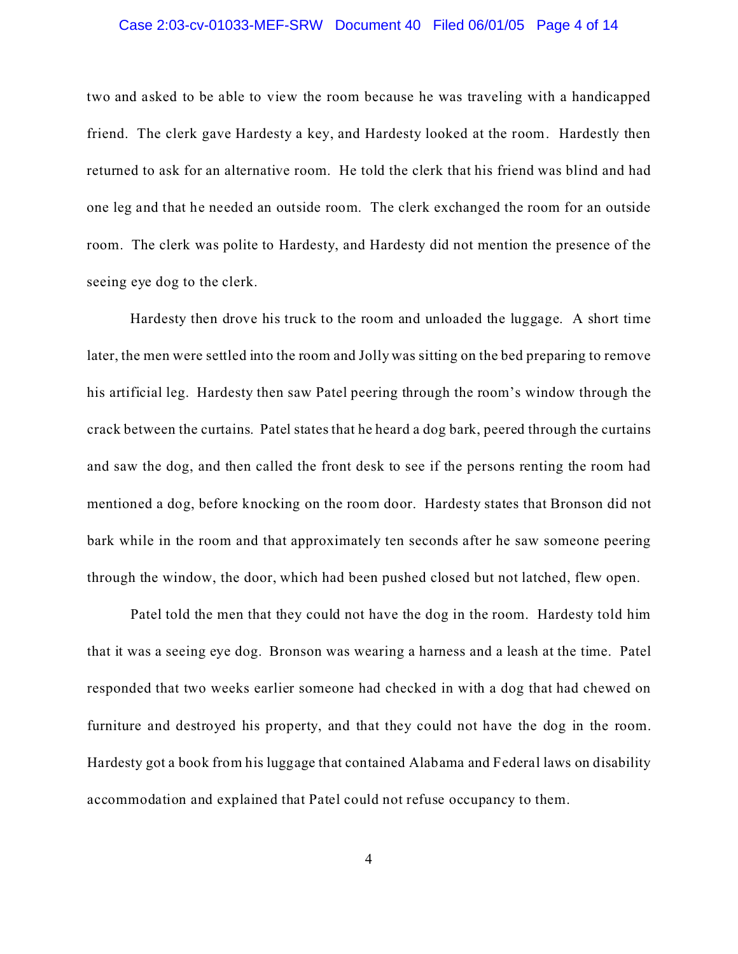### Case 2:03-cv-01033-MEF-SRW Document 40 Filed 06/01/05 Page 4 of 14

two and asked to be able to view the room because he was traveling with a handicapped friend. The clerk gave Hardesty a key, and Hardesty looked at the room. Hardestly then returned to ask for an alternative room. He told the clerk that his friend was blind and had one leg and that he needed an outside room. The clerk exchanged the room for an outside room. The clerk was polite to Hardesty, and Hardesty did not mention the presence of the seeing eye dog to the clerk.

Hardesty then drove his truck to the room and unloaded the luggage. A short time later, the men were settled into the room and Jolly was sitting on the bed preparing to remove his artificial leg. Hardesty then saw Patel peering through the room's window through the crack between the curtains. Patel states that he heard a dog bark, peered through the curtains and saw the dog, and then called the front desk to see if the persons renting the room had mentioned a dog, before knocking on the room door. Hardesty states that Bronson did not bark while in the room and that approximately ten seconds after he saw someone peering through the window, the door, which had been pushed closed but not latched, flew open.

Patel told the men that they could not have the dog in the room. Hardesty told him that it was a seeing eye dog. Bronson was wearing a harness and a leash at the time. Patel responded that two weeks earlier someone had checked in with a dog that had chewed on furniture and destroyed his property, and that they could not have the dog in the room. Hardesty got a book from his luggage that contained Alabama and Federal laws on disability accommodation and explained that Patel could not refuse occupancy to them.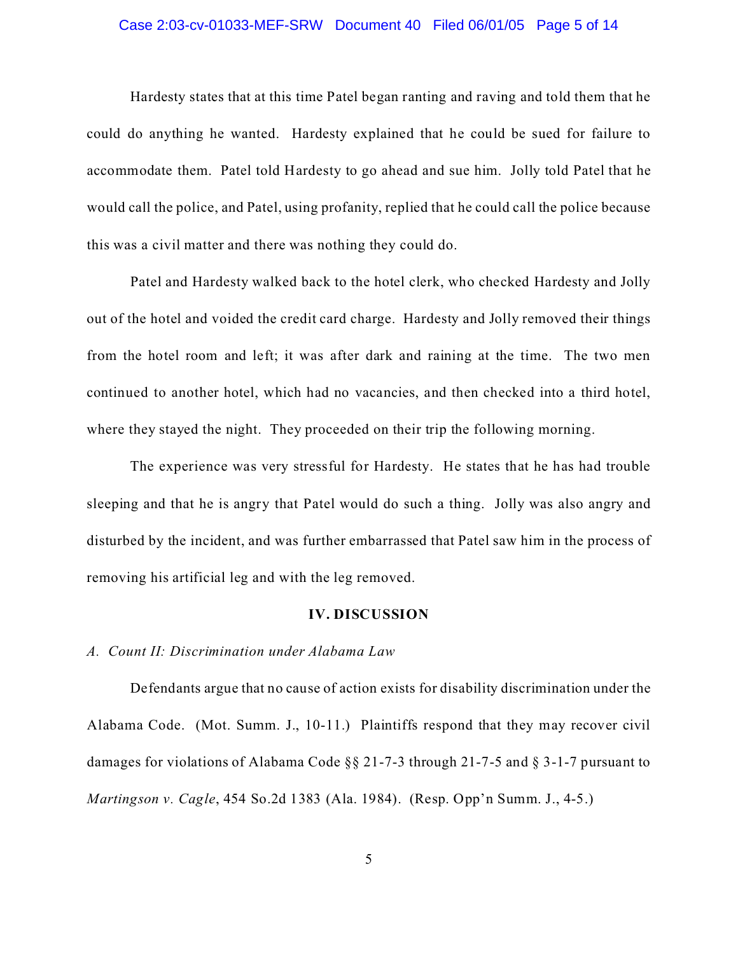### Case 2:03-cv-01033-MEF-SRW Document 40 Filed 06/01/05 Page 5 of 14

Hardesty states that at this time Patel began ranting and raving and told them that he could do anything he wanted. Hardesty explained that he could be sued for failure to accommodate them. Patel told Hardesty to go ahead and sue him. Jolly told Patel that he would call the police, and Patel, using profanity, replied that he could call the police because this was a civil matter and there was nothing they could do.

Patel and Hardesty walked back to the hotel clerk, who checked Hardesty and Jolly out of the hotel and voided the credit card charge. Hardesty and Jolly removed their things from the hotel room and left; it was after dark and raining at the time. The two men continued to another hotel, which had no vacancies, and then checked into a third hotel, where they stayed the night. They proceeded on their trip the following morning.

The experience was very stressful for Hardesty. He states that he has had trouble sleeping and that he is angry that Patel would do such a thing. Jolly was also angry and disturbed by the incident, and was further embarrassed that Patel saw him in the process of removing his artificial leg and with the leg removed.

### **IV. DISCUSSION**

# *A. Count II: Discrimination under Alabama Law*

Defendants argue that no cause of action exists for disability discrimination under the Alabama Code. (Mot. Summ. J., 10-11.) Plaintiffs respond that they may recover civil damages for violations of Alabama Code §§ 21-7-3 through 21-7-5 and § 3-1-7 pursuant to *Martingson v. Cagle*, 454 So.2d 1383 (Ala. 1984). (Resp. Opp'n Summ. J., 4-5.)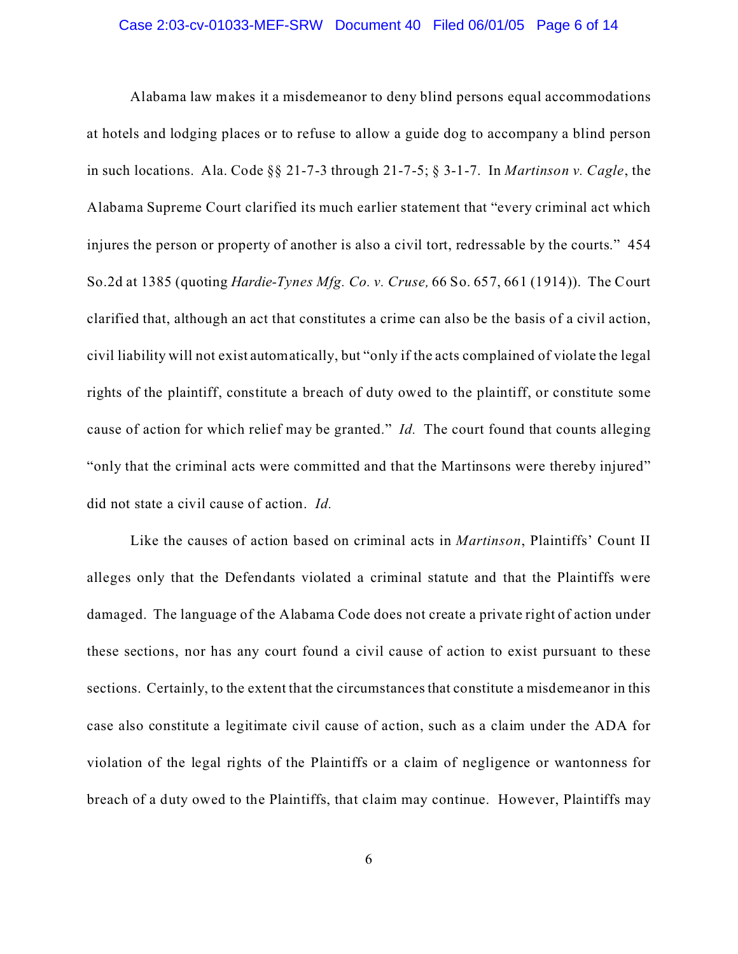### Case 2:03-cv-01033-MEF-SRW Document 40 Filed 06/01/05 Page 6 of 14

Alabama law makes it a misdemeanor to deny blind persons equal accommodations at hotels and lodging places or to refuse to allow a guide dog to accompany a blind person in such locations. Ala. Code §§ 21-7-3 through 21-7-5; § 3-1-7. In *Martinson v. Cagle*, the Alabama Supreme Court clarified its much earlier statement that "every criminal act which injures the person or property of another is also a civil tort, redressable by the courts." 454 So.2d at 1385 (quoting *Hardie-Tynes Mfg. Co. v. Cruse,* 66 So. 657, 661 (1914)). The Court clarified that, although an act that constitutes a crime can also be the basis of a civil action, civil liability will not exist automatically, but "only if the acts complained of violate the legal rights of the plaintiff, constitute a breach of duty owed to the plaintiff, or constitute some cause of action for which relief may be granted." *Id.* The court found that counts alleging "only that the criminal acts were committed and that the Martinsons were thereby injured" did not state a civil cause of action. *Id.*

Like the causes of action based on criminal acts in *Martinson*, Plaintiffs' Count II alleges only that the Defendants violated a criminal statute and that the Plaintiffs were damaged. The language of the Alabama Code does not create a private right of action under these sections, nor has any court found a civil cause of action to exist pursuant to these sections. Certainly, to the extent that the circumstances that constitute a misdemeanor in this case also constitute a legitimate civil cause of action, such as a claim under the ADA for violation of the legal rights of the Plaintiffs or a claim of negligence or wantonness for breach of a duty owed to the Plaintiffs, that claim may continue. However, Plaintiffs may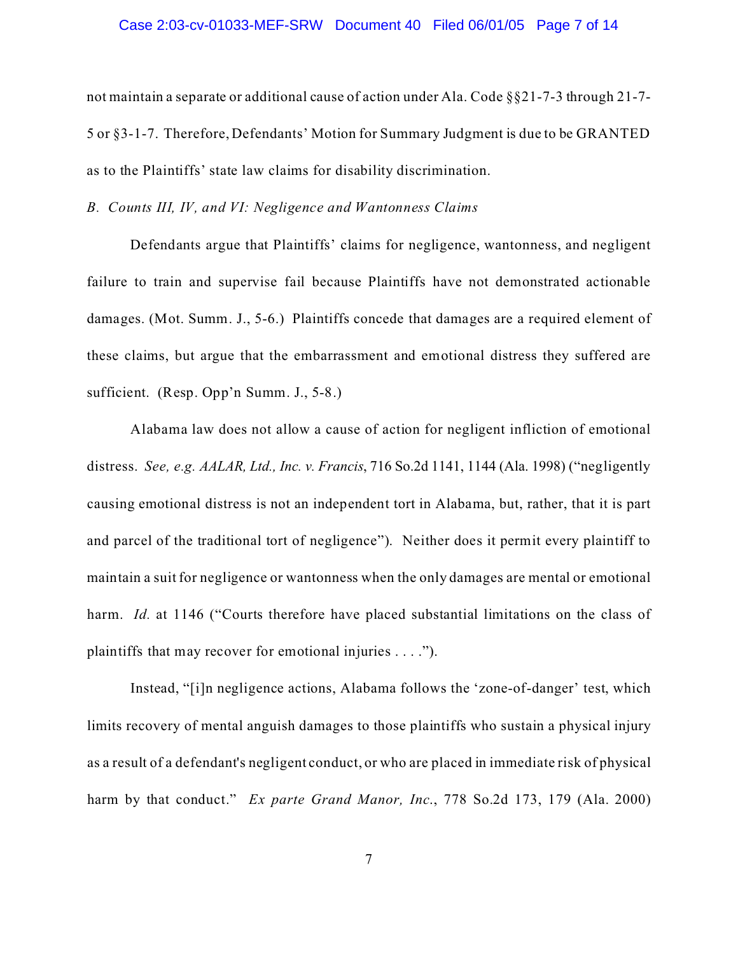### Case 2:03-cv-01033-MEF-SRW Document 40 Filed 06/01/05 Page 7 of 14

not maintain a separate or additional cause of action under Ala. Code §§21-7-3 through 21-7- 5 or §3-1-7. Therefore, Defendants' Motion for Summary Judgment is due to be GRANTED as to the Plaintiffs' state law claims for disability discrimination.

# *B. Counts III, IV, and VI: Negligence and Wantonness Claims*

Defendants argue that Plaintiffs' claims for negligence, wantonness, and negligent failure to train and supervise fail because Plaintiffs have not demonstrated actionable damages. (Mot. Summ. J., 5-6.) Plaintiffs concede that damages are a required element of these claims, but argue that the embarrassment and emotional distress they suffered are sufficient. (Resp. Opp'n Summ. J., 5-8.)

Alabama law does not allow a cause of action for negligent infliction of emotional distress. *See, e.g. AALAR, Ltd., Inc. v. Francis*, 716 So.2d 1141, 1144 (Ala. 1998) ("negligently causing emotional distress is not an independent tort in Alabama, but, rather, that it is part and parcel of the traditional tort of negligence"). Neither does it permit every plaintiff to maintain a suit for negligence or wantonness when the only damages are mental or emotional harm. *Id.* at 1146 ("Courts therefore have placed substantial limitations on the class of plaintiffs that may recover for emotional injuries . . . .").

Instead, "[i]n negligence actions, Alabama follows the 'zone-of-danger' test, which limits recovery of mental anguish damages to those plaintiffs who sustain a physical injury as a result of a defendant's negligent conduct, or who are placed in immediate risk of physical harm by that conduct." *Ex parte Grand Manor, Inc*., 778 So.2d 173, 179 (Ala. 2000)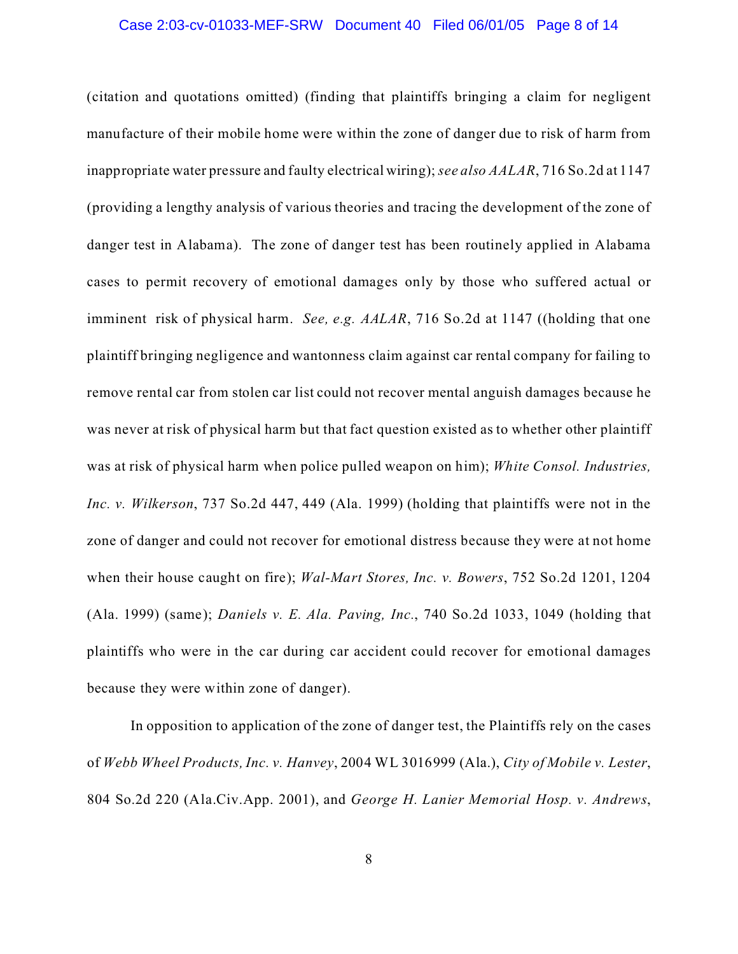### Case 2:03-cv-01033-MEF-SRW Document 40 Filed 06/01/05 Page 8 of 14

(citation and quotations omitted) (finding that plaintiffs bringing a claim for negligent manufacture of their mobile home were within the zone of danger due to risk of harm from inappropriate water pressure and faulty electrical wiring); *see also AALAR*, 716 So.2d at 1147 (providing a lengthy analysis of various theories and tracing the development of the zone of danger test in Alabama). The zone of danger test has been routinely applied in Alabama cases to permit recovery of emotional damages only by those who suffered actual or imminent risk of physical harm. *See, e.g. AALAR*, 716 So.2d at 1147 ((holding that one plaintiff bringing negligence and wantonness claim against car rental company for failing to remove rental car from stolen car list could not recover mental anguish damages because he was never at risk of physical harm but that fact question existed as to whether other plaintiff was at risk of physical harm when police pulled weapon on him); *White Consol. Industries, Inc. v. Wilkerson*, 737 So.2d 447, 449 (Ala. 1999) (holding that plaintiffs were not in the zone of danger and could not recover for emotional distress because they were at not home when their house caught on fire); *Wal-Mart Stores, Inc. v. Bowers*, 752 So.2d 1201, 1204 (Ala. 1999) (same); *Daniels v. E. Ala. Paving, Inc.*, 740 So.2d 1033, 1049 (holding that plaintiffs who were in the car during car accident could recover for emotional damages because they were within zone of danger).

In opposition to application of the zone of danger test, the Plaintiffs rely on the cases of *Webb Wheel Products, Inc. v. Hanvey*, 2004 WL 3016999 (Ala.), *City of Mobile v. Lester*, 804 So.2d 220 (Ala.Civ.App. 2001), and *George H. Lanier Memorial Hosp. v. Andrews*,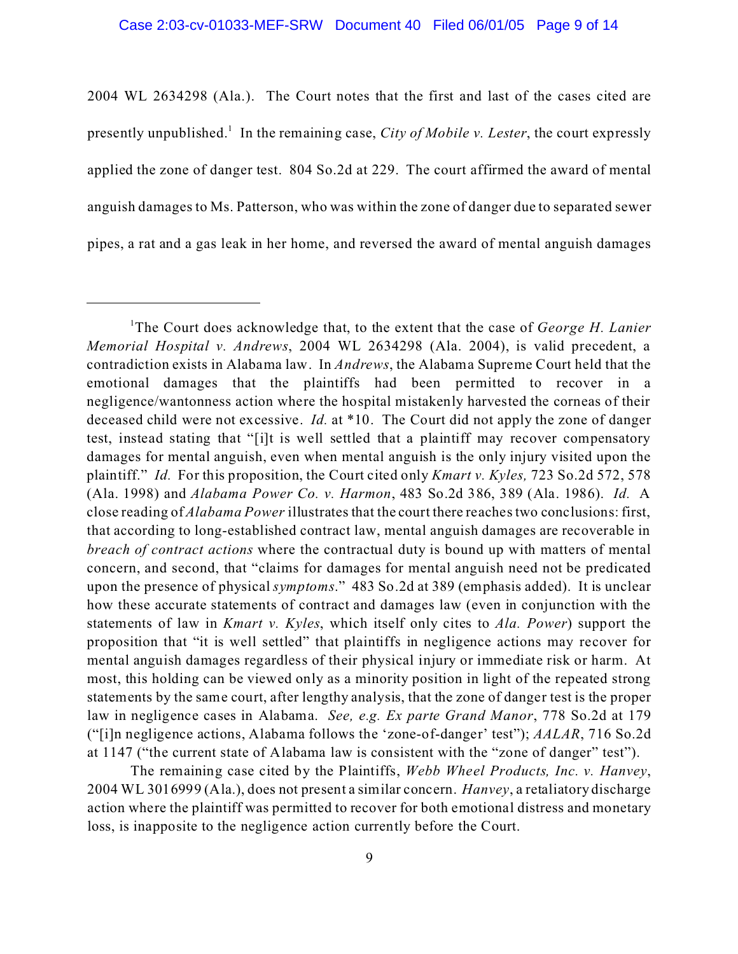2004 WL 2634298 (Ala.). The Court notes that the first and last of the cases cited are presently unpublished.<sup>1</sup> In the remaining case, *City of Mobile v. Lester*, the court expressly applied the zone of danger test. 804 So.2d at 229. The court affirmed the award of mental anguish damages to Ms. Patterson, who was within the zone of danger due to separated sewer pipes, a rat and a gas leak in her home, and reversed the award of mental anguish damages

<sup>1</sup>The Court does acknowledge that, to the extent that the case of *George H. Lanier Memorial Hospital v. Andrews*, 2004 WL 2634298 (Ala. 2004), is valid precedent, a contradiction exists in Alabama law. In *Andrews*, the Alabama Supreme Court held that the emotional damages that the plaintiffs had been permitted to recover in a negligence/wantonness action where the hospital mistakenly harvested the corneas of their deceased child were not excessive. *Id.* at \*10. The Court did not apply the zone of danger test, instead stating that "[i]t is well settled that a plaintiff may recover compensatory damages for mental anguish, even when mental anguish is the only injury visited upon the plaintiff." *Id.* For this proposition, the Court cited only *Kmart v. Kyles,* 723 So.2d 572, 578 (Ala. 1998) and *Alabama Power Co. v. Harmon*, 483 So.2d 386, 389 (Ala. 1986). *Id.* A close reading of *Alabama Power* illustrates that the court there reaches two conclusions: first, that according to long-established contract law, mental anguish damages are recoverable in *breach of contract actions* where the contractual duty is bound up with matters of mental concern, and second, that "claims for damages for mental anguish need not be predicated upon the presence of physical *symptoms*." 483 So.2d at 389 (emphasis added). It is unclear how these accurate statements of contract and damages law (even in conjunction with the statements of law in *Kmart v. Kyles*, which itself only cites to *Ala. Power*) support the proposition that "it is well settled" that plaintiffs in negligence actions may recover for mental anguish damages regardless of their physical injury or immediate risk or harm. At most, this holding can be viewed only as a minority position in light of the repeated strong statements by the same court, after lengthy analysis, that the zone of danger test is the proper law in negligence cases in Alabama. *See, e.g. Ex parte Grand Manor*, 778 So.2d at 179 ("[i]n negligence actions, Alabama follows the 'zone-of-danger' test"); *AALAR*, 716 So.2d at 1147 ("the current state of Alabama law is consistent with the "zone of danger" test").

The remaining case cited by the Plaintiffs, *Webb Wheel Products, Inc. v. Hanvey*, 2004 WL 3016999 (Ala.), does not present a similar concern. *Hanvey*, a retaliatory discharge action where the plaintiff was permitted to recover for both emotional distress and monetary loss, is inapposite to the negligence action currently before the Court.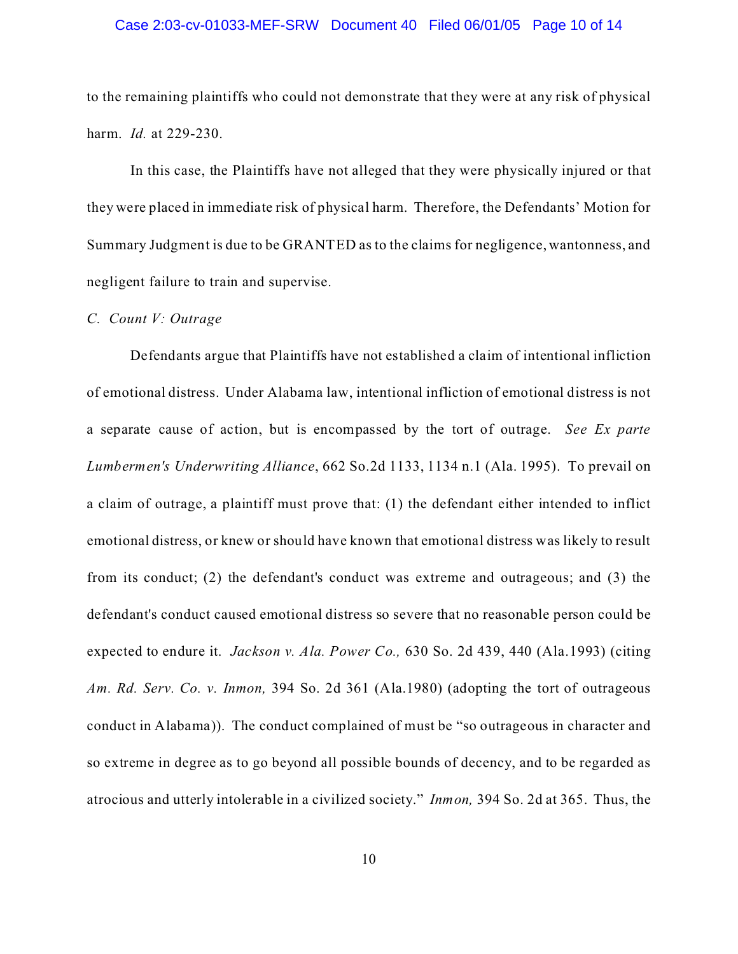### Case 2:03-cv-01033-MEF-SRW Document 40 Filed 06/01/05 Page 10 of 14

to the remaining plaintiffs who could not demonstrate that they were at any risk of physical harm. *Id.* at 229-230.

In this case, the Plaintiffs have not alleged that they were physically injured or that they were placed in immediate risk of physical harm. Therefore, the Defendants' Motion for Summary Judgment is due to be GRANTED as to the claims for negligence, wantonness, and negligent failure to train and supervise.

## *C. Count V: Outrage*

Defendants argue that Plaintiffs have not established a claim of intentional infliction of emotional distress. Under Alabama law, intentional infliction of emotional distress is not a separate cause of action, but is encompassed by the tort of outrage. *See Ex parte Lumbermen's Underwriting Alliance*, 662 So.2d 1133, 1134 n.1 (Ala. 1995). To prevail on a claim of outrage, a plaintiff must prove that: (1) the defendant either intended to inflict emotional distress, or knew or should have known that emotional distress was likely to result from its conduct; (2) the defendant's conduct was extreme and outrageous; and (3) the defendant's conduct caused emotional distress so severe that no reasonable person could be expected to endure it. *Jackson v. Ala. Power Co.,* 630 So. 2d 439, 440 (Ala.1993) (citing *Am. Rd. Serv. Co. v. Inmon,* 394 So. 2d 361 (Ala.1980) (adopting the tort of outrageous conduct in Alabama)). The conduct complained of must be "so outrageous in character and so extreme in degree as to go beyond all possible bounds of decency, and to be regarded as atrocious and utterly intolerable in a civilized society." *Inmon,* 394 So. 2d at 365. Thus, the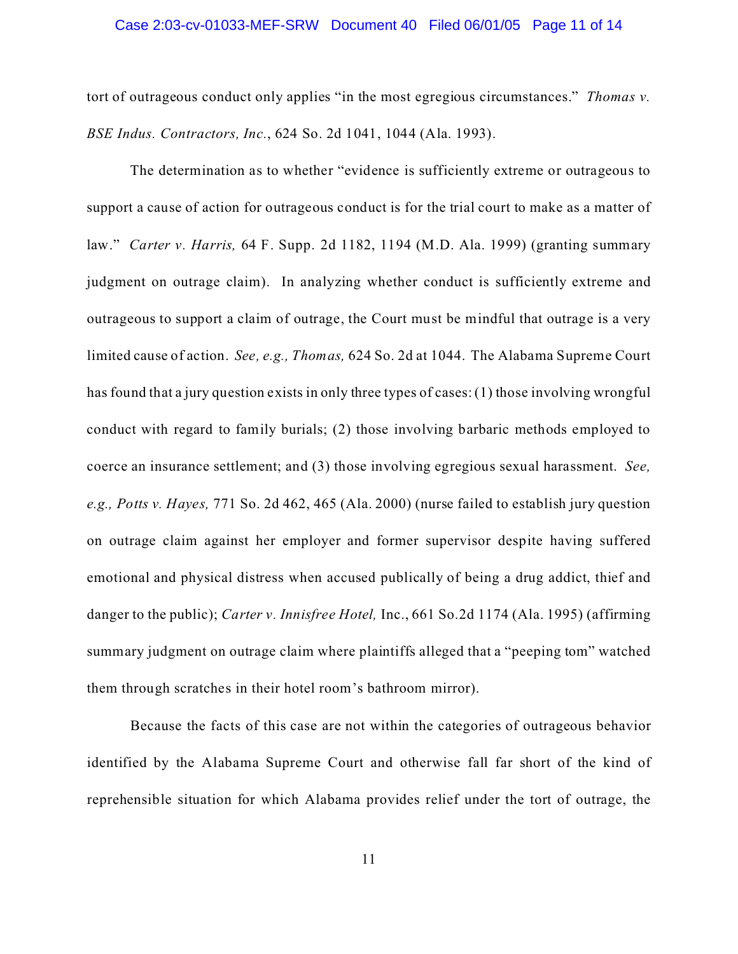### Case 2:03-cv-01033-MEF-SRW Document 40 Filed 06/01/05 Page 11 of 14

tort of outrageous conduct only applies "in the most egregious circumstances." *Thomas v. BSE Indus. Contractors, Inc.*, 624 So. 2d 1041, 1044 (Ala. 1993).

The determination as to whether "evidence is sufficiently extreme or outrageous to support a cause of action for outrageous conduct is for the trial court to make as a matter of law." *Carter v. Harris,* 64 F. Supp. 2d 1182, 1194 (M.D. Ala. 1999) (granting summary judgment on outrage claim). In analyzing whether conduct is sufficiently extreme and outrageous to support a claim of outrage, the Court must be mindful that outrage is a very limited cause of action. *See, e.g., Thomas,* 624 So. 2d at 1044. The Alabama Supreme Court has found that a jury question exists in only three types of cases: (1) those involving wrongful conduct with regard to family burials; (2) those involving barbaric methods employed to coerce an insurance settlement; and (3) those involving egregious sexual harassment. *See, e.g., Potts v. Hayes,* 771 So. 2d 462, 465 (Ala. 2000) (nurse failed to establish jury question on outrage claim against her employer and former supervisor despite having suffered emotional and physical distress when accused publically of being a drug addict, thief and danger to the public); *Carter v. Innisfree Hotel,* Inc., 661 So.2d 1174 (Ala. 1995) (affirming summary judgment on outrage claim where plaintiffs alleged that a "peeping tom" watched them through scratches in their hotel room's bathroom mirror).

Because the facts of this case are not within the categories of outrageous behavior identified by the Alabama Supreme Court and otherwise fall far short of the kind of reprehensible situation for which Alabama provides relief under the tort of outrage, the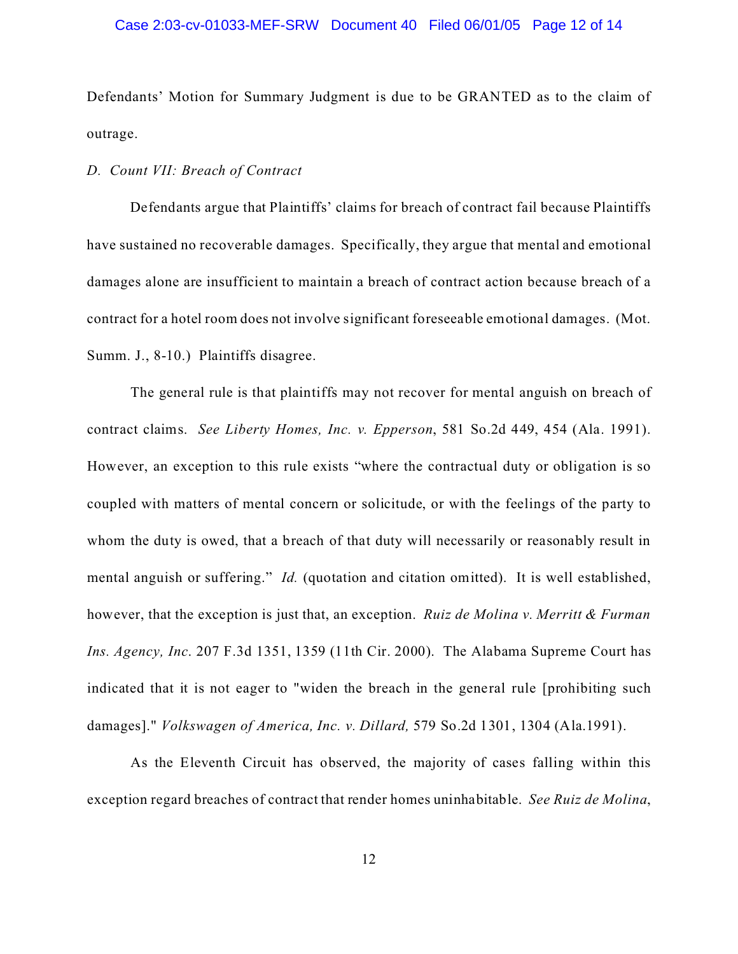### Case 2:03-cv-01033-MEF-SRW Document 40 Filed 06/01/05 Page 12 of 14

Defendants' Motion for Summary Judgment is due to be GRANTED as to the claim of outrage.

# *D. Count VII: Breach of Contract*

Defendants argue that Plaintiffs' claims for breach of contract fail because Plaintiffs have sustained no recoverable damages. Specifically, they argue that mental and emotional damages alone are insufficient to maintain a breach of contract action because breach of a contract for a hotel room does not involve significant foreseeable emotional damages. (Mot. Summ. J., 8-10.) Plaintiffs disagree.

The general rule is that plaintiffs may not recover for mental anguish on breach of contract claims. *See Liberty Homes, Inc. v. Epperson*, 581 So.2d 449, 454 (Ala. 1991). However, an exception to this rule exists "where the contractual duty or obligation is so coupled with matters of mental concern or solicitude, or with the feelings of the party to whom the duty is owed, that a breach of that duty will necessarily or reasonably result in mental anguish or suffering." *Id.* (quotation and citation omitted). It is well established, however, that the exception is just that, an exception. *Ruiz de Molina v. Merritt & Furman Ins. Agency, Inc*. 207 F.3d 1351, 1359 (11th Cir. 2000). The Alabama Supreme Court has indicated that it is not eager to "widen the breach in the general rule [prohibiting such damages]." *Volkswagen of America, Inc. v. Dillard,* 579 So.2d 1301, 1304 (Ala.1991).

As the Eleventh Circuit has observed, the majority of cases falling within this exception regard breaches of contract that render homes uninhabitable. *See Ruiz de Molina*,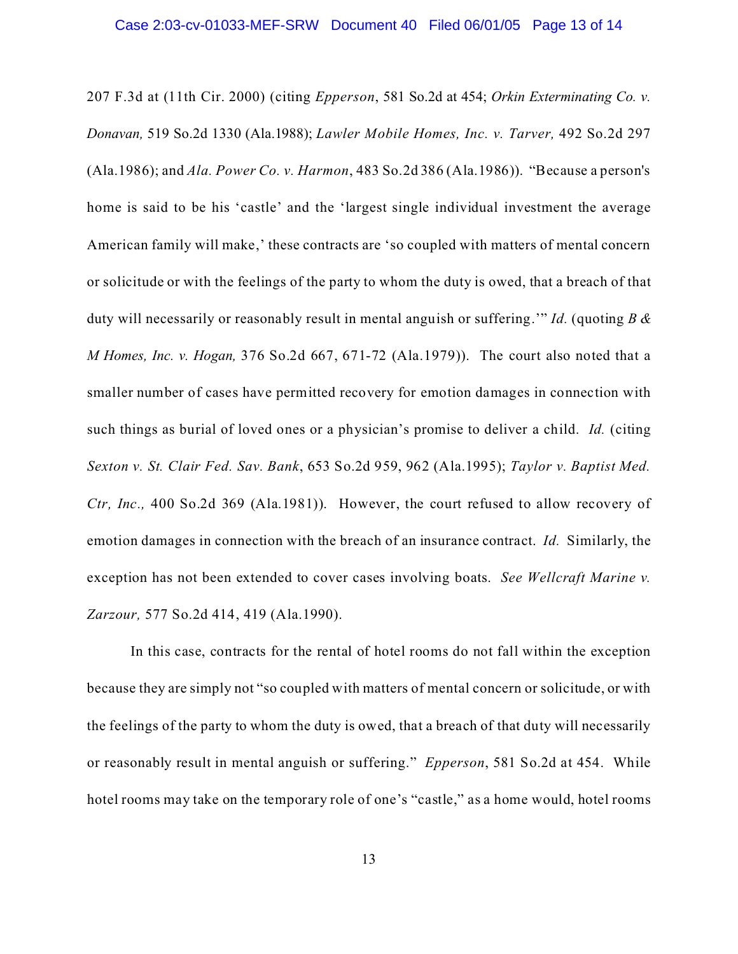### Case 2:03-cv-01033-MEF-SRW Document 40 Filed 06/01/05 Page 13 of 14

207 F.3d at (11th Cir. 2000) (citing *Epperson*, 581 So.2d at 454; *Orkin Exterminating Co. v. Donavan,* 519 So.2d 1330 (Ala.1988); *Lawler Mobile Homes, Inc. v. Tarver,* 492 So.2d 297 (Ala.1986); and *Ala. Power Co. v. Harmon*, 483 So.2d 386 (Ala.1986)). "Because a person's home is said to be his 'castle' and the 'largest single individual investment the average American family will make,' these contracts are 'so coupled with matters of mental concern or solicitude or with the feelings of the party to whom the duty is owed, that a breach of that duty will necessarily or reasonably result in mental anguish or suffering.'" *Id.* (quoting *B & M Homes, Inc. v. Hogan,* 376 So.2d 667, 671-72 (Ala.1979)). The court also noted that a smaller number of cases have permitted recovery for emotion damages in connection with such things as burial of loved ones or a physician's promise to deliver a child. *Id.* (citing *Sexton v. St. Clair Fed. Sav. Bank*, 653 So.2d 959, 962 (Ala.1995); *Taylor v. Baptist Med. Ctr, Inc.,* 400 So.2d 369 (Ala.1981)). However, the court refused to allow recovery of emotion damages in connection with the breach of an insurance contract. *Id.* Similarly, the exception has not been extended to cover cases involving boats. *See Wellcraft Marine v. Zarzour,* 577 So.2d 414, 419 (Ala.1990).

In this case, contracts for the rental of hotel rooms do not fall within the exception because they are simply not "so coupled with matters of mental concern or solicitude, or with the feelings of the party to whom the duty is owed, that a breach of that duty will necessarily or reasonably result in mental anguish or suffering." *Epperson*, 581 So.2d at 454. While hotel rooms may take on the temporary role of one's "castle," as a home would, hotel rooms